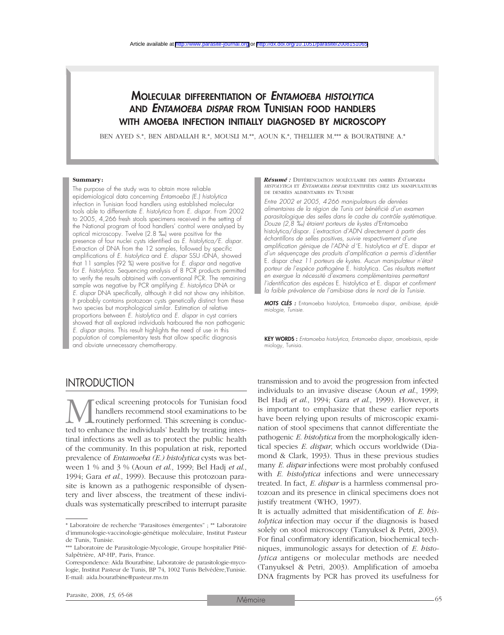# MOLECULAR DIFFERENTIATION OF *ENTAMOEBA HISTOLYTICA* AND *ENTAMOEBA DISPAR* FROM TUNISIAN FOOD HANDLERS WITH AMOEBA INFECTION INITIALLY DIAGNOSED BY MICROSCOPY

BEN AYED S.\*, BEN ABDALLAH R.\*, MOUSLI M.\*\*, AOUN K.\*, THELLIER M.\*\*\* & BOURATBINE A.\*

#### **Summary:**

The purpose of the study was to obtain more reliable epidemiological data concerning *Entamoeba (E.) histolytica* infection in Tunisian food handlers using established molecular tools able to differentiate *E. histolytica* from *E. dispar*. From 2002 to 2005, 4,266 fresh stools specimens received in the setting of the National program of food handlers' control were analysed by optical microscopy. Twelve (2.8 ‰) were positive for the presence of four nuclei cysts identified as *E. histolytica/E. dispar.* Extraction of DNA from the 12 samples, followed by specific amplifications of *E. histolytica* and *E. dispar* SSU rDNA, showed that 11 samples (92 %) were positive for *E. dispar* and negative for *E. histolytica.* Sequencing analysis of 8 PCR products permitted to verify the results obtained with conventional PCR. The remaining sample was negative by PCR amplifying *E. histolytica* DNA or *E. dispar* DNA specifically, although it did not show any inhibition. It probably contains protozoan cysts genetically distinct from these two species but morphological similar. Estimation of relative proportions between *E. histolytica* and *E. dispar* in cyst carriers showed that all explored individuals harboured the non pathogenic *E. dispar* strains*.* This result highlights the need of use in this population of complementary tests that allow specific diagnosis and obviate unnecessary chemotherapy.

*Résumé :* DIFFÉRENCIATION MOLÉCULAIRE DES AMIBES *ENTAMOEBA HISTOLYTICA* ET *ENTAMOEBA DISPAR* IDENTIFIÉES CHEZ LES MANIPULATEURS DE DENRÉES ALIMENTAIRES EN TUNISIE

*Entre 2002 et 2005, 4266 manipulateurs de denrées alimentaires de la région de Tunis ont bénéficié d'un examen parasitologique des selles dans le cadre du contrôle systématique. Douze (2,8 ‰) étaient porteurs de kystes d'*Entamoeba histolytica/dispar*. L'extraction d'ADN directement à partir des échantillons de selles positives, suivie respectivement d'une amplification génique de l'ADNr d'*E. histolytica *et d'*E. dispar *et d'un séquençage des produits d'amplification a permis d'identifier* E. dispar *chez 11 porteurs de kystes. Aucun manipulateur n'était porteur de l'espèce pathogène* E. histolytica*. Ces résultats mettent en exergue la nécessité d'examens complémentaires permettant l'identification des espèces* E. histolytica *et* E. dispar *et confirment la faible prévalence de l'amibiase dans le nord de la Tunisie.*

*MOTS CLÉS :* Entamoeba histolytica*,* Entamoeba dispar*, amibiase, épidémiologie, Tunisie.*

KEY WORDS : *Entamoeba histolytica*, *Entamoeba dispar*, amoebiasis, epidemiology, Tunisia.

# **INTRODUCTION**

**M** edical screening protocols for Tunisian food handlers recommend stool examinations to be routinely performed. This screening is conducted to enhance the individuals' health by treating inteshandlers recommend stool examinations to be routinely performed. This screening is conductinal infections as well as to protect the public health of the community. In this population at risk, reported prevalence of *Entamoeba (E.) histolytica* cysts was between 1 % and 3 % (Aoun *et al*., 1999; Bel Hadj *et al*., 1994; Gara *et al*., 1999). Because this protozoan parasite is known as a pathogenic responsible of dysentery and liver abscess, the treatment of these individuals was systematically prescribed to interrupt parasite

transmission and to avoid the progression from infected individuals to an invasive disease (Aoun *et al*., 1999; Bel Hadj *et al*., 1994; Gara *et al*., 1999). However, it is important to emphasize that these earlier reports have been relying upon results of microscopic examination of stool specimens that cannot differentiate the pathogenic *E. histolytica* from the morphologically identical species *E. dispar*, which occurs worldwide (Diamond & Clark, 1993). Thus in these previous studies many *E. dispar* infections were most probably confused with *E. histolytica* infections and were unnecessary treated. In fact, *E. dispar* is a harmless commensal protozoan and its presence in clinical specimens does not justify treatment (WHO, 1997).

It is actually admitted that misidentification of *E. histolytica* infection may occur if the diagnosis is based solely on stool microscopy (Tanyuksel & Petri, 2003). For final confirmatory identification, biochemical techniques, immunologic assays for detection of *E. histolytica* antigens or molecular methods are needed (Tanyuksel & Petri, 2003). Amplification of amoeba DNA fragments by PCR has proved its usefulness for

<sup>\*</sup> Laboratoire de recherche "Parasitoses émergentes" ; \*\* Laboratoire d'immunologie-vaccinologie-génétique moléculaire, Institut Pasteur de Tunis, Tunisie.

<sup>\*\*\*</sup> Laboratoire de Parasitologie-Mycologie, Groupe hospitalier Pitié-Salpêtrière, AP-HP, Paris, France.

Correspondence: Aïda Bouratbine, Laboratoire de parasitologie-mycologie, Institut Pasteur de Tunis, BP 74, 1002 Tunis Belvédère,Tunisie. E-mail: aida.bouratbine@pasteur.rns.tn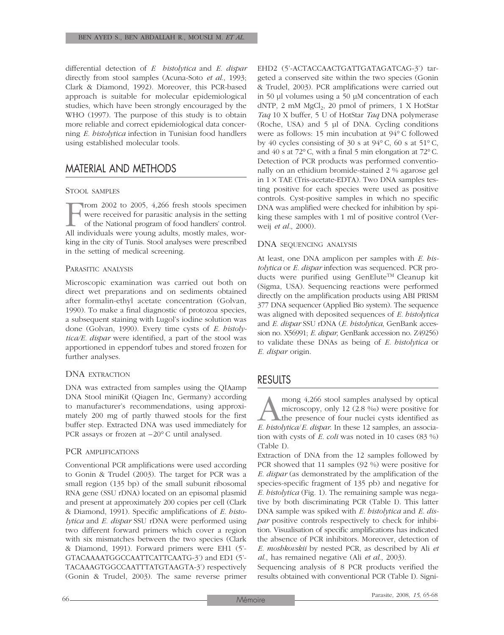differential detection of *E histolytica* and *E. dispar* directly from stool samples (Acuna-Soto *et al*., 1993; Clark & Diamond, 1992). Moreover, this PCR-based approach is suitable for molecular epidemiological studies, which have been strongly encouraged by the WHO (1997). The purpose of this study is to obtain more reliable and correct epidemiological data concerning *E. histolytica* infection in Tunisian food handlers using established molecular tools.

# MATERIAL AND METHODS

### STOOL SAMPLES

From 2002 to 2005, 4,266 fresh stools specimen<br>were received for parasitic analysis in the setting<br>of the National program of food handlers' control.<br>All individuals were young adults, mostly males, worwere received for parasitic analysis in the setting of the National program of food handlers' control. All individuals were young adults, mostly males, working in the city of Tunis. Stool analyses were prescribed in the setting of medical screening.

#### PARASITIC ANALYSIS

Microscopic examination was carried out both on direct wet preparations and on sediments obtained after formalin-ethyl acetate concentration (Golvan, 1990). To make a final diagnostic of protozoa species, a subsequent staining with Lugol's iodine solution was done (Golvan, 1990). Every time cysts of *E. histolytica/E. dispar* were identified, a part of the stool was apportioned in eppendorf tubes and stored frozen for further analyses.

### DNA EXTRACTION

DNA was extracted from samples using the QIAamp DNA Stool miniKit (Qiagen Inc, Germany) according to manufacturer's recommendations, using approximately 200 mg of partly thawed stools for the first buffer step. Extracted DNA was used immediately for PCR assays or frozen at –20° C until analysed.

### PCR AMPLIFICATIONS

Conventional PCR amplifications were used according to Gonin & Trudel (2003). The target for PCR was a small region (135 bp) of the small subunit ribosomal RNA gene (SSU rDNA) located on an episomal plasmid and present at approximately 200 copies per cell (Clark & Diamond, 1991). Specific amplifications of *E. histolytica* and *E. dispar* SSU rDNA were performed using two different forward primers which cover a region with six mismatches between the two species (Clark & Diamond, 1991). Forward primers were EH1 (5'- GTACAAAATGGCCAATTCATTCAATG-3') and ED1 (5'- TACAAAGTGGCCAATTTATGTAAGTA-3') respectively (Gonin & Trudel, 2003). The same reverse primer EHD2 (5'-ACTACCAACTGATTGATAGATCAG-3') targeted a conserved site within the two species (Gonin & Trudel, 2003). PCR amplifications were carried out in 50 µl volumes using a 50 µM concentration of each dNTP,  $2 \text{ mM MgCl}_2$ ,  $20 \text{ pmol of primers}$ ,  $1 \text{ X HotStar}$ *Taq* 10 X buffer, 5 U of HotStar *Taq* DNA polymerase (Roche, USA) and 5 µl of DNA. Cycling conditions were as follows: 15 min incubation at 94° C followed by 40 cycles consisting of 30 s at 94° C, 60 s at 51° C, and 40 s at 72°C, with a final 5 min elongation at 72°C. Detection of PCR products was performed conventionally on an ethidium bromide-stained 2 % agarose gel in  $1 \times$  TAE (Tris-acetate-EDTA). Two DNA samples testing positive for each species were used as positive controls. Cyst-positive samples in which no specific DNA was amplified were checked for inhibition by spiking these samples with 1 ml of positive control (Verweij *et al.*, 2000).

### DNA SEQUENCING ANALYSIS

At least, one DNA amplicon per samples with *E. histolytica* or *E. dispar* infection was sequenced. PCR products were purified using GenElute™ Cleanup kit (Sigma, USA). Sequencing reactions were performed directly on the amplification products using ABI PRISM 377 DNA sequencer (Applied Bio system). The sequence was aligned with deposited sequences of *E. histolytica* and *E. dispar* SSU rDNA (*E. histolytica*, GenBank accession no. X56991; *E. dispar*, GenBank accession no. Z49256) to validate these DNAs as being of *E. histolytica* or *E. dispar* origin.

### RESULTS

mong 4,266 stool samples analysed by optical<br>microscopy, only 12 (2.8 ‰) were positive for<br>the presence of four nuclei cysts identified as<br>E. bistolytica/E. dispar. In these 12 samples, an associamicroscopy, only 12 (2.8 ‰) were positive for the presence of four nuclei cysts identified as *E. histolytica*/*E. dispar*. In these 12 samples, an association with cysts of *E. coli* was noted in 10 cases (83 %) (Table I).

Extraction of DNA from the 12 samples followed by PCR showed that 11 samples (92 %) were positive for *E. dispar* (as demonstrated by the amplification of the species-specific fragment of 135 pb) and negative for *E. histolytica* (Fig. 1). The remaining sample was negative by both discriminating PCR (Table I). This latter DNA sample was spiked with *E. histolytica* and *E. dispar* positive controls respectively to check for inhibition. Visualisation of specific amplifications has indicated the absence of PCR inhibitors. Moreover, detection of *E. moshkovskii* by nested PCR, as described by Ali *et al*., has remained negative (Ali *et al*., 2003).

Sequencing analysis of 8 PCR products verified the results obtained with conventional PCR (Table I). Signi-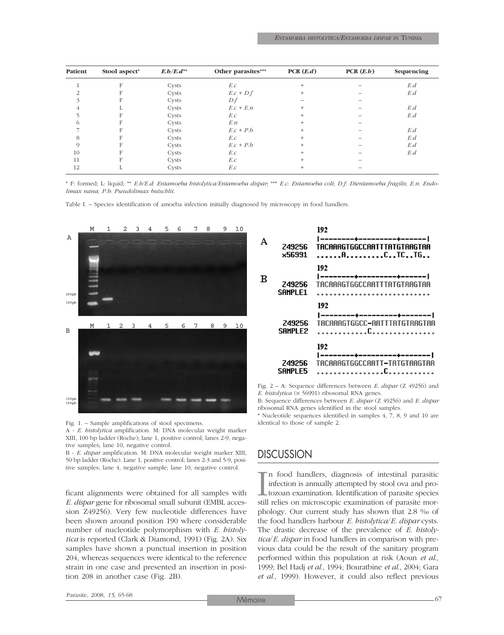| Patient | Stool aspect* | $E.b/E.d^{**}$ | Other parasites*** | PCR(E.d) | PCR(E.b) | Sequencing |
|---------|---------------|----------------|--------------------|----------|----------|------------|
|         |               | Cysts          | E.c                | $^{+}$   |          | E.d        |
|         |               | Cysts          | $E.c + D.f$        | $\pm$    |          | E.d        |
|         |               | Cysts          | D.f                |          |          |            |
|         |               | Cysts          | $E.c + E.n$        |          |          | E.d        |
|         |               | Cysts          | E.c                |          |          | E.d        |
|         |               | Cysts          | E.n                |          |          |            |
|         |               | Cysts          | $E.c + P.b$        |          |          | E.d        |
| 8       |               | Cysts          | E.c                |          |          | E.d        |
|         |               | Cysts          | $E.c + P.b$        |          |          | E.d        |
| 10      |               | Cysts          | E.c                |          |          | E.d        |
| 11      |               | Cysts          | E.c                |          |          |            |
| 12      |               | Cysts          | E.c                |          |          |            |

\* F: formed; L: liquid; \*\* *E.h/E.d*: *Entamoeba histolytica/Entamoeba dispar*; \*\*\* *E.c*: *Entamoeba coli*; *D.f*: *Dientamoeba fragilis*; *E.n*: *Endolimax nana*; *P.b*: *Pseudolimax butschlii*.

Table I. – Species identification of amoeba infection initially diagnosed by microscopy in food handlers.



Fig. 1. – Sample amplifications of stool specimens.

A - *E. histolytica* amplification. M: DNA molecular weight marker XIII, 100 bp ladder (Roche); lane 1, positive control; lanes 2-9, negative samples; lane 10, negative control.

B - *E. dispar* amplification. M: DNA molecular weight marker XIII, 50 bp ladder (Roche). Lane 1, positive control; lanes 2-3 and 5-9, positive samples; lane 4, negative sample; lane 10, negative control.

ficant alignments were obtained for all samples with *E. dispar* gene for ribosomal small subunit (EMBL accession Z49256). Very few nucleotide differences have been shown around position 190 where considerable number of nucleotide polymorphism with *E. histolytica* is reported (Clark & Diamond, 1991) (Fig. 2A). Six samples have shown a punctual insertion in position 204, whereas sequences were identical to the reference strain in one case and presented an insertion in position 208 in another case (Fig. 2B).

| А | 249256<br>x56991         | 192<br> --------+---------+------ <br>TACAAAGTGGCCAATTTATGTAAGTAA<br>ACTCTG |
|---|--------------------------|-----------------------------------------------------------------------------|
| в | 249256<br>SAMPLE1        | 192<br> --------+---------+------- <br>TACAAAGTGGCCAATTTATGTAAGTAA          |
|   | <b>Z49256</b><br>SAMPLE2 | 192<br> --------+---------+------- <br>TACAAAGTGGCC-AATTTATGTAAGTAA         |
|   | 249256<br>SAMPLE5        | 192<br> --------+----------+------- <br>TACAAAGTGGCCAATT-TATGTAAGTAA        |

Fig. 2 – A: Sequence differences between *E. dispar* (Z 49256) and *E. histolytica* (× 56991) ribosomal RNA genes.

B: Sequence differences between *E. dispar* (Z 49256) and *E. dispar* ribosomal RNA genes identified in the stool samples.

\* Nucleotide sequences identified in samples 4, 7, 8, 9 and 10 are identical to those of sample 2.

### **DISCUSSION**

I n food handlers, diagnosis of intestinal parasitic infection is annually attempted by stool ova and protozoan examination. Identification of parasite species still relies on microscopic examination of parasite morphology. Our current study has shown that 2.8 ‰ of the food handlers harbour *E. histolytica*/*E. dispar* cysts. The drastic decrease of the prevalence of *E. histolytica*/*E. dispar* in food handlers in comparison with previous data could be the result of the sanitary program performed within this population at risk (Aoun *et al*., 1999; Bel Hadj *et al*., 1994; Bouratbine *et al*., 2004; Gara *et al*., 1999). However, it could also reflect previous